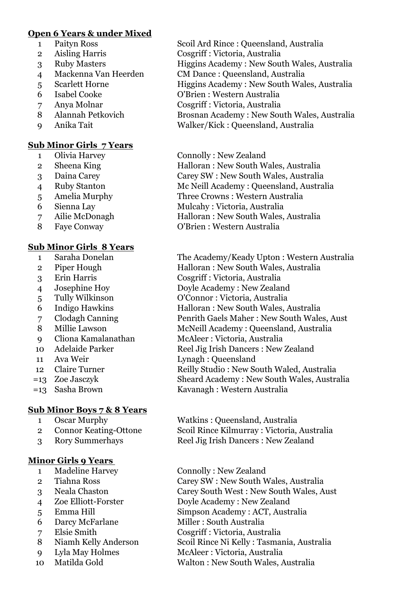# **Open 6 Years & under Mixed**

- 
- Aisling Harris Cosgriff : Victoria, Australia
- 
- Mackenna Van Heerden CM Dance : Queensland, Australia
- 
- 
- 
- 
- 

# **Sub Minor Girls 7 Years**

- 
- 
- 
- 
- 
- 
- 
- 

# **Sub Minor Girls 8 Years**

- 
- 
- 
- 
- 
- 
- 
- 
- 
- 
- 
- 
- 
- 

## **Sub Minor Boys 7 & 8 Years**

- 
- 
- 

## **Minor Girls 9 Years**

- 
- 
- 
- Zoe Elliott-Forster Doyle Academy : New Zealand
- 
- Darcy McFarlane Miller : South Australia
- 
- 
- 
- 
- Paityn Ross Scoil Ard Rince : Queensland, Australia
	-
- 3 Ruby Masters Higgins Academy : New South Wales, Australia
	-
- 5 Scarlett Horne Higgins Academy : New South Wales, Australia
- Isabel Cooke O'Brien : Western Australia
- Anya Molnar Cosgriff : Victoria, Australia
- Alannah Petkovich Brosnan Academy : New South Wales, Australia Anika Tait Walker/Kick : Queensland, Australia
- Olivia Harvey Connolly : New Zealand
- 2 Sheena King Halloran : New South Wales, Australia Daina Carey Carey SW : New South Wales, Australia Ruby Stanton Mc Neill Academy : Queensland, Australia Amelia Murphy Three Crowns : Western Australia Sienna Lay Mulcahy : Victoria, Australia
- Ailie McDonagh Halloran : New South Wales, Australia Faye Conway O'Brien : Western Australia

 Saraha Donelan The Academy/Keady Upton : Western Australia Piper Hough Halloran : New South Wales, Australia Erin Harris Cosgriff : Victoria, Australia Josephine Hoy Doyle Academy : New Zealand Tully Wilkinson O'Connor : Victoria, Australia Indigo Hawkins Halloran : New South Wales, Australia Clodagh Canning Penrith Gaels Maher : New South Wales, Aust Millie Lawson McNeill Academy : Queensland, Australia Cliona Kamalanathan McAleer : Victoria, Australia 10 Adelaide Parker Reel Jig Irish Dancers : New Zealand Ava Weir Lynagh : Queensland 12 Claire Turner Reilly Studio : New South Waled, Australia =13 Zoe Jasczyk Sheard Academy : New South Wales, Australia =13 Sasha Brown Kavanagh : Western Australia

 Oscar Murphy Watkins : Queensland, Australia Connor Keating-Ottone Scoil Rince Kilmurray : Victoria, Australia Rory Summerhays Reel Jig Irish Dancers : New Zealand

- 1 Madeline Harvey Connolly : New Zealand
- Tiahna Ross Carey SW : New South Wales, Australia
- Neala Chaston Carey South West : New South Wales, Aust
	-
- Emma Hill Simpson Academy : ACT, Australia
	-
- Elsie Smith Cosgriff : Victoria, Australia
- Niamh Kelly Anderson Scoil Rince Ni Kelly : Tasmania, Australia
- Lyla May Holmes McAleer : Victoria, Australia
- Matilda Gold Walton : New South Wales, Australia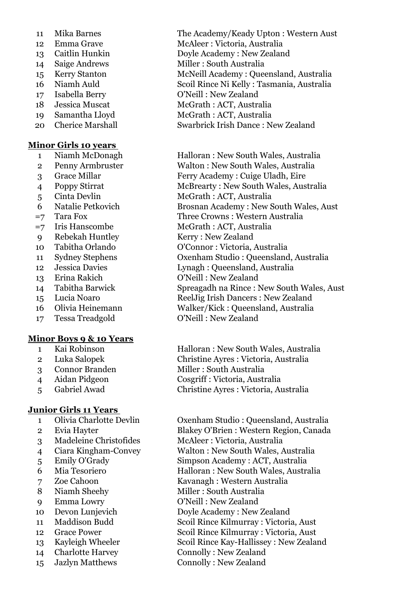- 
- 
- 
- 
- 
- 
- 
- 
- 
- 

### **Minor Girls 10 years**

- 
- 
- 
- 
- 
- 
- 
- 
- Rebekah Huntley Kerry : New Zealand
- 
- 
- 
- 
- 
- 
- 
- Tessa Treadgold O'Neill : New Zealand

### **Minor Boys 9 & 10 Years**

- 
- 
- 
- 
- 

## **Junior Girls 11 Years**

- 
- 
- 
- 
- 
- 
- 
- 
- 
- 
- 
- 
- 
- 
- Jazlyn Matthews Connolly : New Zealand

 Mika Barnes The Academy/Keady Upton : Western Aust Emma Grave McAleer : Victoria, Australia Caitlin Hunkin Doyle Academy : New Zealand 14 Saige Andrews Miller : South Australia Kerry Stanton McNeill Academy : Queensland, Australia Niamh Auld Scoil Rince Ni Kelly : Tasmania, Australia Isabella Berry O'Neill : New Zealand 18 Jessica Muscat McGrath : ACT, Australia Samantha Lloyd McGrath : ACT, Australia Cherice Marshall Swarbrick Irish Dance : New Zealand

 Niamh McDonagh Halloran : New South Wales, Australia Penny Armbruster Walton : New South Wales, Australia

 Grace Millar Ferry Academy : Cuige Uladh, Eire Poppy Stirrat McBrearty : New South Wales, Australia Cinta Devlin McGrath : ACT, Australia Natalie Petkovich Brosnan Academy : New South Wales, Aust =7 Tara Fox Three Crowns : Western Australia =7 Iris Hanscombe McGrath : ACT, Australia Tabitha Orlando O'Connor : Victoria, Australia Sydney Stephens Oxenham Studio : Queensland, Australia Jessica Davies Lynagh : Queensland, Australia Erina Rakich O'Neill : New Zealand Tabitha Barwick Spreagadh na Rince : New South Wales, Aust Lucia Noaro ReelJig Irish Dancers : New Zealand Olivia Heinemann Walker/Kick : Queensland, Australia

 Kai Robinson Halloran : New South Wales, Australia Luka Salopek Christine Ayres : Victoria, Australia Connor Branden Miller : South Australia Aidan Pidgeon Cosgriff : Victoria, Australia Gabriel Awad Christine Ayres : Victoria, Australia

 Olivia Charlotte Devlin Oxenham Studio : Queensland, Australia Evia Hayter Blakey O'Brien : Western Region, Canada Madeleine Christofides McAleer : Victoria, Australia Ciara Kingham-Convey Walton : New South Wales, Australia Emily O'Grady Simpson Academy : ACT, Australia Mia Tesoriero Halloran : New South Wales, Australia Zoe Cahoon Kavanagh : Western Australia 8 Niamh Sheehy Miller : South Australia Emma Lowry O'Neill : New Zealand Devon Lunjevich Doyle Academy : New Zealand Maddison Budd Scoil Rince Kilmurray : Victoria, Aust Grace Power Scoil Rince Kilmurray : Victoria, Aust Kayleigh Wheeler Scoil Rince Kay-Hallissey : New Zealand 14 Charlotte Harvey Connolly : New Zealand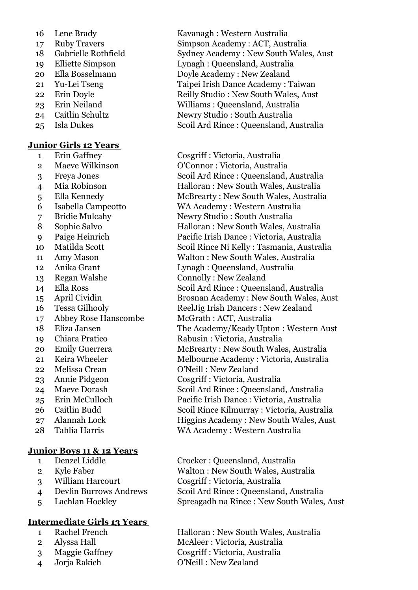- 
- 
- 
- 
- 
- 
- 
- 
- 
- 

### **Junior Girls 12 Years**

- 
- 
- 
- 
- 
- 
- 
- 
- 
- 
- 
- 
- 
- 
- 
- 
- Abbey Rose Hanscombe McGrath : ACT, Australia
- 
- 
- 
- 
- 
- 
- 
- 
- 
- 
- 

### **Junior Boys 11 & 12 Years**

- 
- 
- 
- 
- 

## **Intermediate Girls 13 Years**

- 
- 
- 
- 

 Lene Brady Kavanagh : Western Australia Ruby Travers Simpson Academy : ACT, Australia Gabrielle Rothfield Sydney Academy : New South Wales, Aust Elliette Simpson Lynagh : Queensland, Australia Ella Bosselmann Doyle Academy : New Zealand Yu-Lei Tseng Taipei Irish Dance Academy : Taiwan 22 Erin Doyle Reilly Studio : New South Wales, Aust Erin Neiland Williams : Queensland, Australia Caitlin Schultz Newry Studio : South Australia Isla Dukes Scoil Ard Rince : Queensland, Australia

 Erin Gaffney Cosgriff : Victoria, Australia Maeve Wilkinson O'Connor : Victoria, Australia Freya Jones Scoil Ard Rince : Queensland, Australia Mia Robinson Halloran : New South Wales, Australia Ella Kennedy McBrearty : New South Wales, Australia Isabella Campeotto WA Academy : Western Australia Bridie Mulcahy Newry Studio : South Australia Sophie Salvo Halloran : New South Wales, Australia Paige Heinrich Pacific Irish Dance : Victoria, Australia Matilda Scott Scoil Rince Ni Kelly : Tasmania, Australia Amy Mason Walton : New South Wales, Australia Anika Grant Lynagh : Queensland, Australia Regan Walshe Connolly : New Zealand 14 Ella Ross Scoil Ard Rince : Queensland, Australia April Cividin Brosnan Academy : New South Wales, Aust Tessa Gilhooly ReelJig Irish Dancers : New Zealand Eliza Jansen The Academy/Keady Upton : Western Aust Chiara Pratico Rabusin : Victoria, Australia 20 Emily Guerrera McBrearty : New South Wales, Australia 21 Keira Wheeler Melbourne Academy : Victoria, Australia 22 Melissa Crean O'Neill : New Zealand Annie Pidgeon Cosgriff : Victoria, Australia Maeve Dorash Scoil Ard Rince : Queensland, Australia Erin McCulloch Pacific Irish Dance : Victoria, Australia Caitlin Budd Scoil Rince Kilmurray : Victoria, Australia Alannah Lock Higgins Academy : New South Wales, Aust Tahlia Harris WA Academy : Western Australia

 Denzel Liddle Crocker : Queensland, Australia Kyle Faber Walton : New South Wales, Australia William Harcourt Cosgriff : Victoria, Australia Devlin Burrows Andrews Scoil Ard Rince : Queensland, Australia Lachlan Hockley Spreagadh na Rince : New South Wales, Aust

 Rachel French Halloran : New South Wales, Australia Alyssa Hall McAleer : Victoria, Australia Maggie Gaffney Cosgriff : Victoria, Australia Jorja Rakich O'Neill : New Zealand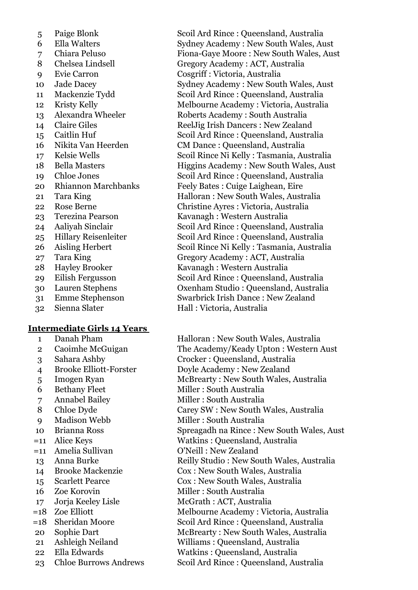- 
- 
- 
- 
- 
- 
- 
- 
- 
- 
- 
- 
- 
- 
- 
- 
- 
- 
- 
- 
- 
- 
- 
- 
- 
- 
- 
- 

### **Intermediate Girls 14 Years**

- 
- 
- 
- 
- 
- 
- 
- 
- 
- 
- 
- 
- 
- 
- 
- 
- 
- 
- 
- 
- 
- 
- 

5 Paige Blonk Scoil Ard Rince : Queensland, Australia<br>6 Ella Walters Sydney Academy : New South Wales, Au Ella Walters Sydney Academy : New South Wales, Aust Chiara Peluso Fiona-Gaye Moore : New South Wales, Aust Chelsea Lindsell Gregory Academy : ACT, Australia Evie Carron Cosgriff : Victoria, Australia Jade Dacey Sydney Academy : New South Wales, Aust Mackenzie Tydd Scoil Ard Rince : Queensland, Australia Kristy Kelly Melbourne Academy : Victoria, Australia Alexandra Wheeler Roberts Academy : South Australia 14 Claire Giles ReelJig Irish Dancers : New Zealand Caitlin Huf Scoil Ard Rince : Queensland, Australia Nikita Van Heerden CM Dance : Queensland, Australia Kelsie Wells Scoil Rince Ni Kelly : Tasmania, Australia 18 Bella Masters Higgins Academy : New South Wales, Aust Chloe Jones Scoil Ard Rince : Queensland, Australia Rhiannon Marchbanks Feely Bates : Cuige Laighean, Eire Tara King Halloran : New South Wales, Australia Rose Berne Christine Ayres : Victoria, Australia Terezina Pearson Kavanagh : Western Australia Aaliyah Sinclair Scoil Ard Rince : Queensland, Australia Hillary Reisenleiter Scoil Ard Rince : Queensland, Australia Aisling Herbert Scoil Rince Ni Kelly : Tasmania, Australia Tara King Gregory Academy : ACT, Australia Hayley Brooker Kavanagh : Western Australia Eilish Fergusson Scoil Ard Rince : Queensland, Australia Lauren Stephens Oxenham Studio : Queensland, Australia Emme Stephenson Swarbrick Irish Dance : New Zealand Sienna Slater Hall : Victoria, Australia

1 Danah Pham Halloran : New South Wales, Australia Caoimhe McGuigan The Academy/Keady Upton : Western Aust Sahara Ashby Crocker : Queensland, Australia Brooke Elliott-Forster Doyle Academy : New Zealand Imogen Ryan McBrearty : New South Wales, Australia 6 Bethany Fleet Miller : South Australia Annabel Bailey Miller : South Australia Chloe Dyde Carey SW : New South Wales, Australia Madison Webb Miller : South Australia Brianna Ross Spreagadh na Rince : New South Wales, Aust =11 Alice Keys Watkins : Queensland, Australia =11 Amelia Sullivan O'Neill : New Zealand 13 Anna Burke Reilly Studio : New South Wales, Australia Brooke Mackenzie Cox : New South Wales, Australia Scarlett Pearce Cox : New South Wales, Australia 16 Zoe Korovin Miller : South Australia Jorja Keeley Lisle McGrath : ACT, Australia =18 Zoe Elliott Melbourne Academy : Victoria, Australia =18 Sheridan Moore Scoil Ard Rince : Queensland, Australia 20 Sophie Dart McBrearty : New South Wales, Australia Ashleigh Neiland Williams : Queensland, Australia Ella Edwards Watkins : Queensland, Australia Chloe Burrows Andrews Scoil Ard Rince : Queensland, Australia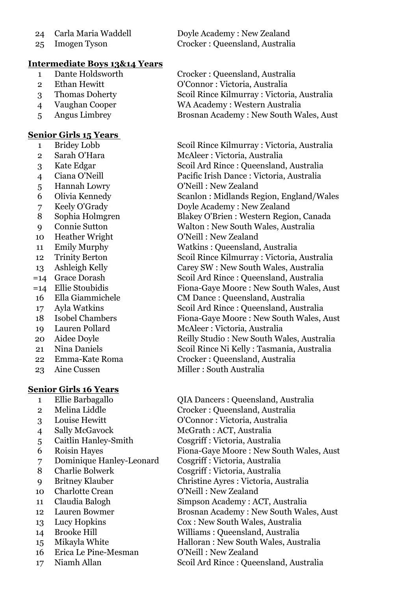- 
- 

### **Intermediate Boys 13&14 Years**

- 
- 
- 
- 
- 

### **Senior Girls 15 Years**

- 
- 
- 
- 
- Hannah Lowry O'Neill : New Zealand
- 
- 
- Sophia Holmgren Blakey O'Brien : Western Region, Canada
- 
- Heather Wright O'Neill : New Zealand
- Emily Murphy Watkins : Queensland, Australia
- Trinity Berton Scoil Rince Kilmurray : Victoria, Australia
- Ashleigh Kelly Carey SW : New South Wales, Australia
- 
- 
- 
- 
- 
- 
- 
- 
- 
- 

# **Senior Girls 16 Years**

- 
- 
- 
- 
- Caitlin Hanley-Smith Cosgriff : Victoria, Australia
- 
- Dominique Hanley-Leonard Cosgriff : Victoria, Australia
- 
- 
- 
- 
- 
- 
- 
- 
- Erica Le Pine-Mesman O'Neill : New Zealand
- 

 Carla Maria Waddell Doyle Academy : New Zealand Imogen Tyson Crocker : Queensland, Australia

 Dante Holdsworth Crocker : Queensland, Australia Ethan Hewitt O'Connor : Victoria, Australia Thomas Doherty Scoil Rince Kilmurray : Victoria, Australia Vaughan Cooper WA Academy : Western Australia Angus Limbrey Brosnan Academy : New South Wales, Aust

 Bridey Lobb Scoil Rince Kilmurray : Victoria, Australia 2 Sarah O'Hara McAleer : Victoria, Australia Kate Edgar Scoil Ard Rince : Queensland, Australia

Ciana O'Neill Pacific Irish Dance : Victoria, Australia

Olivia Kennedy Scanlon : Midlands Region, England/Wales

Keely O'Grady Doyle Academy : New Zealand

Connie Sutton Walton : New South Wales, Australia

- 
- 

- =14 Grace Dorash Scoil Ard Rince : Queensland, Australia Fiona-Gaye Moore : New South Wales, Aust
- Ella Giammichele CM Dance : Queensland, Australia
- Ayla Watkins Scoil Ard Rince : Queensland, Australia Isobel Chambers Fiona-Gaye Moore : New South Wales, Aust
- Lauren Pollard McAleer : Victoria, Australia 20 Aidee Doyle Reilly Studio : New South Wales, Australia
- Nina Daniels Scoil Rince Ni Kelly : Tasmania, Australia Emma-Kate Roma Crocker : Queensland, Australia
	-
- 23 Aine Cussen Miller : South Australia

 Ellie Barbagallo QIA Dancers : Queensland, Australia Melina Liddle Crocker : Queensland, Australia Louise Hewitt O'Connor : Victoria, Australia Sally McGavock McGrath : ACT, Australia

- Roisin Hayes Fiona-Gaye Moore : New South Wales, Aust
	-
- Charlie Bolwerk Cosgriff : Victoria, Australia
- Britney Klauber Christine Ayres : Victoria, Australia
- 10 Charlotte Crean O'Neill : New Zealand
- Claudia Balogh Simpson Academy : ACT, Australia
- 12 Lauren Bowmer Brosnan Academy : New South Wales, Aust
- Lucy Hopkins Cox : New South Wales, Australia
- Brooke Hill Williams : Queensland, Australia
- Mikayla White Halloran : New South Wales, Australia
	-
- Niamh Allan Scoil Ard Rince : Queensland, Australia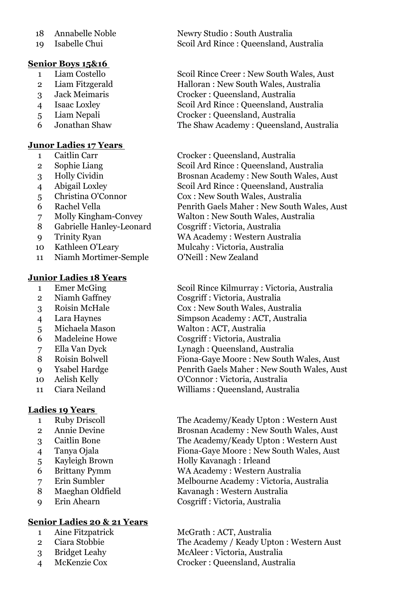- 
- 

# **Senior Boys 15&16**

- 
- 
- 
- 
- 
- 

# **Junor Ladies 17 Years**

- 
- 
- 
- 
- 
- 
- 
- Gabrielle Hanley-Leonard Cosgriff : Victoria, Australia
- 
- 
- Niamh Mortimer-Semple O'Neill : New Zealand

## **Junior Ladies 18 Years**

- 
- 
- 
- 
- 
- 
- 
- 
- 
- Aelish Kelly O'Connor : Victoria, Australia
- 

## **Ladies 19 Years**

- 
- 
- 
- 
- 
- 
- 
- 
- 

# **Senior Ladies 20 & 21 Years**

- 
- 
- 
- 

18 Annabelle Noble Newry Studio : South Australia Isabelle Chui Scoil Ard Rince : Queensland, Australia

 Liam Costello Scoil Rince Creer : New South Wales, Aust Liam Fitzgerald Halloran : New South Wales, Australia Jack Meimaris Crocker : Queensland, Australia Isaac Loxley Scoil Ard Rince : Queensland, Australia Liam Nepali Crocker : Queensland, Australia Jonathan Shaw The Shaw Academy : Queensland, Australia

 Caitlin Carr Crocker : Queensland, Australia Sophie Liang Scoil Ard Rince : Queensland, Australia Holly Cividin Brosnan Academy : New South Wales, Aust Abigail Loxley Scoil Ard Rince : Queensland, Australia Christina O'Connor Cox : New South Wales, Australia Rachel Vella Penrith Gaels Maher : New South Wales, Aust Molly Kingham-Convey Walton : New South Wales, Australia Trinity Ryan WA Academy : Western Australia 10 Kathleen O'Leary Mulcahy : Victoria, Australia

 Emer McGing Scoil Rince Kilmurray : Victoria, Australia Niamh Gaffney Cosgriff : Victoria, Australia Roisin McHale Cox : New South Wales, Australia Lara Haynes Simpson Academy : ACT, Australia Michaela Mason Walton : ACT, Australia Madeleine Howe Cosgriff : Victoria, Australia Ella Van Dyck Lynagh : Queensland, Australia Roisin Bolwell Fiona-Gaye Moore : New South Wales, Aust Ysabel Hardge Penrith Gaels Maher : New South Wales, Aust

Ciara Neiland Williams : Queensland, Australia

 Ruby Driscoll The Academy/Keady Upton : Western Aust Annie Devine Brosnan Academy : New South Wales, Aust Caitlin Bone The Academy/Keady Upton : Western Aust Tanya Ojala Fiona-Gaye Moore : New South Wales, Aust Kayleigh Brown Holly Kavanagh : Irleand Brittany Pymm WA Academy : Western Australia Erin Sumbler Melbourne Academy : Victoria, Australia 8 Maeghan Oldfield Kavanagh : Western Australia Erin Ahearn Cosgriff : Victoria, Australia

 Aine Fitzpatrick McGrath : ACT, Australia Ciara Stobbie The Academy / Keady Upton : Western Aust Bridget Leahy McAleer : Victoria, Australia McKenzie Cox Crocker : Queensland, Australia